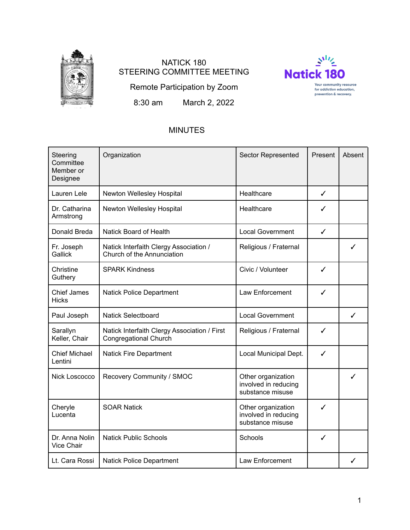

# NATICK 180 STEERING COMMITTEE MEETING



Remote Participation by Zoom

8:30 am March 2, 2022

# MINUTES

| Steering<br>Committee<br>Member or<br>Designee | Organization                                                                 | <b>Sector Represented</b>                                      | Present      | Absent |
|------------------------------------------------|------------------------------------------------------------------------------|----------------------------------------------------------------|--------------|--------|
| Lauren Lele                                    | Newton Wellesley Hospital                                                    | Healthcare                                                     | $\checkmark$ |        |
| Dr. Catharina<br>Armstrong                     | Newton Wellesley Hospital                                                    | Healthcare                                                     | ✓            |        |
| Donald Breda                                   | <b>Natick Board of Health</b>                                                | <b>Local Government</b>                                        | ✓            |        |
| Fr. Joseph<br>Gallick                          | Natick Interfaith Clergy Association /<br>Church of the Annunciation         | Religious / Fraternal                                          |              | J      |
| Christine<br>Guthery                           | <b>SPARK Kindness</b>                                                        | Civic / Volunteer                                              | ✓            |        |
| <b>Chief James</b><br><b>Hicks</b>             | Natick Police Department                                                     | Law Enforcement                                                | ✓            |        |
| Paul Joseph                                    | <b>Natick Selectboard</b>                                                    | <b>Local Government</b>                                        |              | ✓      |
| Sarallyn<br>Keller, Chair                      | Natick Interfaith Clergy Association / First<br><b>Congregational Church</b> | Religious / Fraternal                                          | ✓            |        |
| <b>Chief Michael</b><br>Lentini                | <b>Natick Fire Department</b>                                                | Local Municipal Dept.                                          | ✓            |        |
| Nick Loscocco                                  | Recovery Community / SMOC                                                    | Other organization<br>involved in reducing<br>substance misuse |              | ✓      |
| Cheryle<br>Lucenta                             | <b>SOAR Natick</b>                                                           | Other organization<br>involved in reducing<br>substance misuse | ✓            |        |
| Dr. Anna Nolin<br>Vice Chair                   | <b>Natick Public Schools</b>                                                 | Schools                                                        | ✓            |        |
| Lt. Cara Rossi                                 | Natick Police Department                                                     | Law Enforcement                                                |              |        |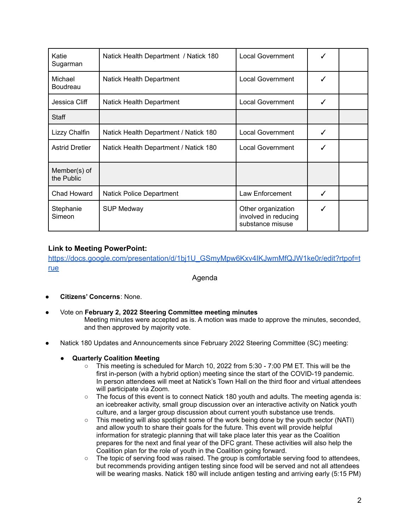| Katie<br>Sugarman          | Natick Health Department / Natick 180 | <b>Local Government</b>                                        | ✔ |  |
|----------------------------|---------------------------------------|----------------------------------------------------------------|---|--|
| Michael<br><b>Boudreau</b> | Natick Health Department              | <b>Local Government</b>                                        | ✓ |  |
| Jessica Cliff              | Natick Health Department              | Local Government                                               | ✓ |  |
| Staff                      |                                       |                                                                |   |  |
| Lizzy Chalfin              | Natick Health Department / Natick 180 | <b>Local Government</b>                                        | ✓ |  |
| <b>Astrid Dretler</b>      | Natick Health Department / Natick 180 | <b>Local Government</b>                                        | ✔ |  |
| Member(s) of<br>the Public |                                       |                                                                |   |  |
| Chad Howard                | <b>Natick Police Department</b>       | Law Enforcement                                                | ✓ |  |
| Stephanie<br>Simeon        | <b>SUP Medway</b>                     | Other organization<br>involved in reducing<br>substance misuse | ✓ |  |

# **Link to Meeting PowerPoint:**

[https://docs.google.com/presentation/d/1bj1U\\_GSmyMpw6Kxv4IKJwmMfQJW1ke0r/edit?rtpof=t](https://docs.google.com/presentation/d/1bj1U_GSmyMpw6Kxv4IKJwmMfQJW1ke0r/edit?rtpof=true) [rue](https://docs.google.com/presentation/d/1bj1U_GSmyMpw6Kxv4IKJwmMfQJW1ke0r/edit?rtpof=true)

Agenda

- **Citizens' Concerns**: None.
- Vote on **February 2, 2022 Steering Committee meeting minutes** Meeting minutes were accepted as is. A motion was made to approve the minutes, seconded, and then approved by majority vote.
- Natick 180 Updates and Announcements since February 2022 Steering Committee (SC) meeting:

# ● **Quarterly Coalition Meeting**

- $\circ$  This meeting is scheduled for March 10, 2022 from 5:30 7:00 PM ET. This will be the first in-person (with a hybrid option) meeting since the start of the COVID-19 pandemic. In person attendees will meet at Natick's Town Hall on the third floor and virtual attendees will participate via Zoom.
- The focus of this event is to connect Natick 180 youth and adults. The meeting agenda is: an icebreaker activity, small group discussion over an interactive activity on Natick youth culture, and a larger group discussion about current youth substance use trends.
- This meeting will also spotlight some of the work being done by the youth sector (NATI) and allow youth to share their goals for the future. This event will provide helpful information for strategic planning that will take place later this year as the Coalition prepares for the next and final year of the DFC grant. These activities will also help the Coalition plan for the role of youth in the Coalition going forward.
- The topic of serving food was raised. The group is comfortable serving food to attendees, but recommends providing antigen testing since food will be served and not all attendees will be wearing masks. Natick 180 will include antigen testing and arriving early (5:15 PM)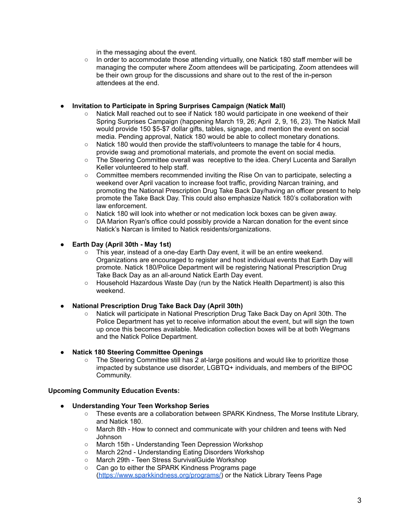in the messaging about the event.

 $\circ$  In order to accommodate those attending virtually, one Natick 180 staff member will be managing the computer where Zoom attendees will be participating. Zoom attendees will be their own group for the discussions and share out to the rest of the in-person attendees at the end.

#### **● Invitation to Participate in Spring Surprises Campaign (Natick Mall)**

- Natick Mall reached out to see if Natick 180 would participate in one weekend of their Spring Surprises Campaign (happening March 19, 26; April 2, 9, 16, 23). The Natick Mall would provide 150 \$5-\$7 dollar gifts, tables, signage, and mention the event on social media. Pending approval, Natick 180 would be able to collect monetary donations.
- Natick 180 would then provide the staff/volunteers to manage the table for 4 hours, provide swag and promotional materials, and promote the event on social media.
- The Steering Committee overall was receptive to the idea. Cheryl Lucenta and Sarallyn Keller volunteered to help staff.
- Committee members recommended inviting the Rise On van to participate, selecting a weekend over April vacation to increase foot traffic, providing Narcan training, and promoting the National Prescription Drug Take Back Day/having an officer present to help promote the Take Back Day. This could also emphasize Natick 180's collaboration with law enforcement.
- Natick 180 will look into whether or not medication lock boxes can be given away.
- DA Marion Ryan's office could possibly provide a Narcan donation for the event since Natick's Narcan is limited to Natick residents/organizations.

# **● Earth Day (April 30th - May 1st)**

- This year, instead of a one-day Earth Day event, it will be an entire weekend. Organizations are encouraged to register and host individual events that Earth Day will promote. Natick 180/Police Department will be registering National Prescription Drug Take Back Day as an all-around Natick Earth Day event.
- Household Hazardous Waste Day (run by the Natick Health Department) is also this weekend.

# **● National Prescription Drug Take Back Day (April 30th)**

○ Natick will participate in National Prescription Drug Take Back Day on April 30th. The Police Department has yet to receive information about the event, but will sign the town up once this becomes available. Medication collection boxes will be at both Wegmans and the Natick Police Department.

# **● Natick 180 Steering Committee Openings**

○ The Steering Committee still has 2 at-large positions and would like to prioritize those impacted by substance use disorder, LGBTQ+ individuals, and members of the BIPOC Community.

# **Upcoming Community Education Events:**

- **● Understanding Your Teen Workshop Series**
	- These events are a collaboration between SPARK Kindness, The Morse Institute Library, and Natick 180.
	- March 8th How to connect and communicate with your children and teens with Ned Johnson
	- March 15th Understanding Teen Depression Workshop
	- March 22nd Understanding Eating Disorders Workshop
	- March 29th Teen Stress SurvivalGuide Workshop
	- Can go to either the SPARK Kindness Programs page [\(https://www.sparkkindness.org/programs/](https://www.sparkkindness.org/programs/)) or the Natick Library Teens Page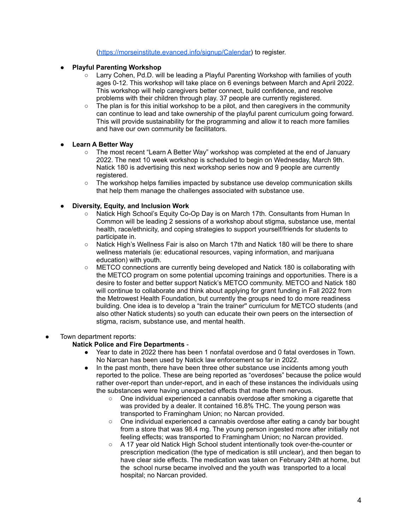[\(https://morseinstitute.evanced.info/signup/Calendar\)](https://morseinstitute.evanced.info/signup/Calendar) to register.

- **Playful Parenting Workshop**
	- Larry Cohen, Pd.D. will be leading a Playful Parenting Workshop with families of youth ages 0-12. This workshop will take place on 6 evenings between March and April 2022. This workshop will help caregivers better connect, build confidence, and resolve problems with their children through play. 37 people are currently registered.
	- $\circ$  The plan is for this initial workshop to be a pilot, and then caregivers in the community can continue to lead and take ownership of the playful parent curriculum going forward. This will provide sustainability for the programming and allow it to reach more families and have our own community be facilitators.

# ● **Learn A Better Way**

- The most recent "Learn A Better Way" workshop was completed at the end of January 2022. The next 10 week workshop is scheduled to begin on Wednesday, March 9th. Natick 180 is advertising this next workshop series now and 9 people are currently registered.
- The workshop helps families impacted by substance use develop communication skills that help them manage the challenges associated with substance use.

# ● **Diversity, Equity, and Inclusion Work**

- Natick High School's Equity Co-Op Day is on March 17th. Consultants from Human In Common will be leading 2 sessions of a workshop about stigma, substance use, mental health, race/ethnicity, and coping strategies to support yourself/friends for students to participate in.
- Natick High's Wellness Fair is also on March 17th and Natick 180 will be there to share wellness materials (ie: educational resources, vaping information, and marijuana education) with youth.
- METCO connections are currently being developed and Natick 180 is collaborating with the METCO program on some potential upcoming trainings and opportunities. There is a desire to foster and better support Natick's METCO community. METCO and Natick 180 will continue to collaborate and think about applying for grant funding in Fall 2022 from the Metrowest Health Foundation, but currently the groups need to do more readiness building. One idea is to develop a "train the trainer'' curriculum for METCO students (and also other Natick students) so youth can educate their own peers on the intersection of stigma, racism, substance use, and mental health.

# Town department reports:

# **Natick Police and Fire Departments** -

- Year to date in 2022 there has been 1 nonfatal overdose and 0 fatal overdoses in Town. No Narcan has been used by Natick law enforcement so far in 2022.
- In the past month, there have been three other substance use incidents among youth reported to the police. These are being reported as "overdoses" because the police would rather over-report than under-report, and in each of these instances the individuals using the substances were having unexpected effects that made them nervous.
	- One individual experienced a cannabis overdose after smoking a cigarette that was provided by a dealer. It contained 16.8% THC. The young person was transported to Framingham Union; no Narcan provided.
	- One individual experienced a cannabis overdose after eating a candy bar bought from a store that was 98.4 mg. The young person ingested more after initially not feeling effects; was transported to Framingham Union; no Narcan provided.
	- A 17 year old Natick High School student intentionally took over-the-counter or prescription medication (the type of medication is still unclear), and then began to have clear side effects. The medication was taken on February 24th at home, but the school nurse became involved and the youth was transported to a local hospital; no Narcan provided.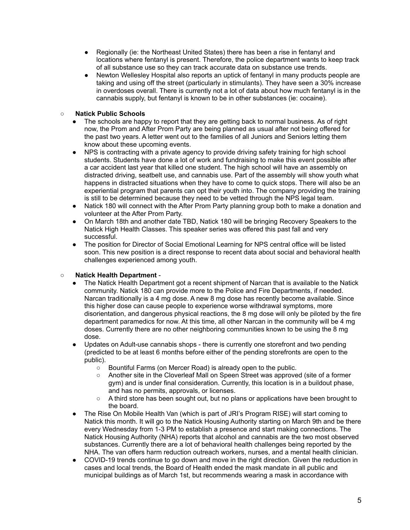- Regionally (ie: the Northeast United States) there has been a rise in fentanyl and locations where fentanyl is present. Therefore, the police department wants to keep track of all substance use so they can track accurate data on substance use trends.
- Newton Wellesley Hospital also reports an uptick of fentanyl in many products people are taking and using off the street (particularly in stimulants). They have seen a 30% increase in overdoses overall. There is currently not a lot of data about how much fentanyl is in the cannabis supply, but fentanyl is known to be in other substances (ie: cocaine).

# ○ **Natick Public Schools**

- The schools are happy to report that they are getting back to normal business. As of right now, the Prom and After Prom Party are being planned as usual after not being offered for the past two years. A letter went out to the families of all Juniors and Seniors letting them know about these upcoming events.
- NPS is contracting with a private agency to provide driving safety training for high school students. Students have done a lot of work and fundraising to make this event possible after a car accident last year that killed one student. The high school will have an assembly on distracted driving, seatbelt use, and cannabis use. Part of the assembly will show youth what happens in distracted situations when they have to come to quick stops. There will also be an experiential program that parents can opt their youth into. The company providing the training is still to be determined because they need to be vetted through the NPS legal team.
- Natick 180 will connect with the After Prom Party planning group both to make a donation and volunteer at the After Prom Party.
- On March 18th and another date TBD, Natick 180 will be bringing Recovery Speakers to the Natick High Health Classes. This speaker series was offered this past fall and very successful.
- The position for Director of Social Emotional Learning for NPS central office will be listed soon. This new position is a direct response to recent data about social and behavioral health challenges experienced among youth.

# **○ Natick Health Department** -

- The Natick Health Department got a recent shipment of Narcan that is available to the Natick community. Natick 180 can provide more to the Police and Fire Departments, if needed. Narcan traditionally is a 4 mg dose. A new 8 mg dose has recently become available. Since this higher dose can cause people to experience worse withdrawal symptoms, more disorientation, and dangerous physical reactions, the 8 mg dose will only be piloted by the fire department paramedics for now. At this time, all other Narcan in the community will be 4 mg doses. Currently there are no other neighboring communities known to be using the 8 mg dose.
- Updates on Adult-use cannabis shops there is currently one storefront and two pending (predicted to be at least 6 months before either of the pending storefronts are open to the public).
	- Bountiful Farms (on Mercer Road) is already open to the public.
	- Another site in the Cloverleaf Mall on Speen Street was approved (site of a former gym) and is under final consideration. Currently, this location is in a buildout phase, and has no permits, approvals, or licenses.
	- $\circ$  A third store has been sought out, but no plans or applications have been brought to the board.
- The Rise On Mobile Health Van (which is part of JRI's Program RISE) will start coming to Natick this month. It will go to the Natick Housing Authority starting on March 9th and be there every Wednesday from 1-3 PM to establish a presence and start making connections. The Natick Housing Authority (NHA) reports that alcohol and cannabis are the two most observed substances. Currently there are a lot of behavioral health challenges being reported by the NHA. The van offers harm reduction outreach workers, nurses, and a mental health clinician.
- COVID-19 trends continue to go down and move in the right direction. Given the reduction in cases and local trends, the Board of Health ended the mask mandate in all public and municipal buildings as of March 1st, but recommends wearing a mask in accordance with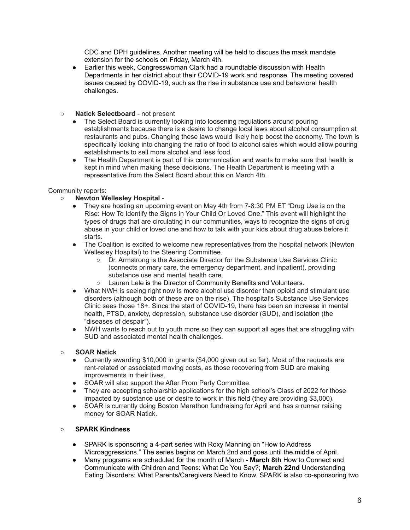CDC and DPH guidelines. Another meeting will be held to discuss the mask mandate extension for the schools on Friday, March 4th.

- Earlier this week, Congresswoman Clark had a roundtable discussion with Health Departments in her district about their COVID-19 work and response. The meeting covered issues caused by COVID-19, such as the rise in substance use and behavioral health challenges.
- **Natick Selectboard** not present
	- The Select Board is currently looking into loosening regulations around pouring establishments because there is a desire to change local laws about alcohol consumption at restaurants and pubs. Changing these laws would likely help boost the economy. The town is specifically looking into changing the ratio of food to alcohol sales which would allow pouring establishments to sell more alcohol and less food.
	- The Health Department is part of this communication and wants to make sure that health is kept in mind when making these decisions. The Health Department is meeting with a representative from the Select Board about this on March 4th.

# Community reports:

# ○ **Newton Wellesley Hospital** -

- They are hosting an upcoming event on May 4th from 7-8:30 PM ET "Drug Use is on the Rise: How To Identify the Signs in Your Child Or Loved One." This event will highlight the types of drugs that are circulating in our communities, ways to recognize the signs of drug abuse in your child or loved one and how to talk with your kids about drug abuse before it starts.
- The Coalition is excited to welcome new representatives from the hospital network (Newton Wellesley Hospital) to the Steering Committee.
	- Dr. Armstrong is the Associate Director for the Substance Use Services Clinic (connects primary care, the emergency department, and inpatient), providing substance use and mental health care.
	- Lauren Lele is the Director of Community Benefits and Volunteers.
- What NWH is seeing right now is more alcohol use disorder than opioid and stimulant use disorders (although both of these are on the rise). The hospital's Substance Use Services Clinic sees those 18+. Since the start of COVID-19, there has been an increase in mental health, PTSD, anxiety, depression, substance use disorder (SUD), and isolation (the "diseases of despair").
- NWH wants to reach out to youth more so they can support all ages that are struggling with SUD and associated mental health challenges.

#### ○ **SOAR Natick**

- Currently awarding \$10,000 in grants (\$4,000 given out so far). Most of the requests are rent-related or associated moving costs, as those recovering from SUD are making improvements in their lives.
- SOAR will also support the After Prom Party Committee.
- They are accepting scholarship applications for the high school's Class of 2022 for those impacted by substance use or desire to work in this field (they are providing \$3,000).
- SOAR is currently doing Boston Marathon fundraising for April and has a runner raising money for SOAR Natick.

#### ○ **SPARK Kindness**

- SPARK is sponsoring a 4-part series with Roxy Manning on "How to Address Microaggressions." The series begins on March 2nd and goes until the middle of April.
- Many programs are scheduled for the month of March **March 8th** How to Connect and Communicate with Children and Teens: What Do You Say?; **March 22nd** Understanding Eating Disorders: What Parents/Caregivers Need to Know. SPARK is also co-sponsoring two